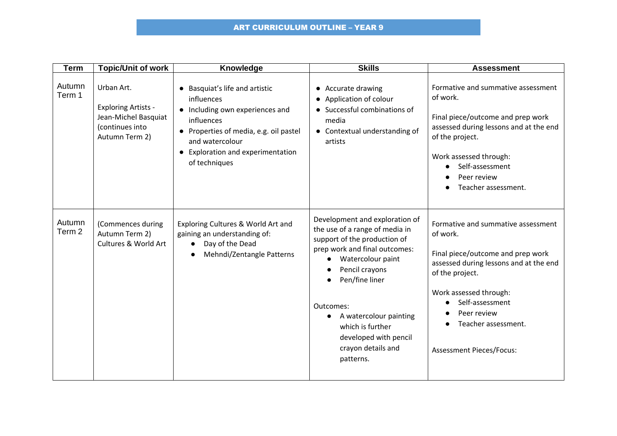| <b>Term</b>      | <b>Topic/Unit of work</b>                                                                             | Knowledge                                                                                                                                                                                                        | <b>Skills</b>                                                                                                                                                                                                                                                                                                                               | <b>Assessment</b>                                                                                                                                                                                                                                                      |
|------------------|-------------------------------------------------------------------------------------------------------|------------------------------------------------------------------------------------------------------------------------------------------------------------------------------------------------------------------|---------------------------------------------------------------------------------------------------------------------------------------------------------------------------------------------------------------------------------------------------------------------------------------------------------------------------------------------|------------------------------------------------------------------------------------------------------------------------------------------------------------------------------------------------------------------------------------------------------------------------|
| Autumn<br>Term 1 | Urban Art.<br><b>Exploring Artists -</b><br>Jean-Michel Basquiat<br>(continues into<br>Autumn Term 2) | • Basquiat's life and artistic<br>influences<br>• Including own experiences and<br>influences<br>• Properties of media, e.g. oil pastel<br>and watercolour<br>• Exploration and experimentation<br>of techniques | Accurate drawing<br>Application of colour<br>$\bullet$<br>Successful combinations of<br>media<br>• Contextual understanding of<br>artists                                                                                                                                                                                                   | Formative and summative assessment<br>of work.<br>Final piece/outcome and prep work<br>assessed during lessons and at the end<br>of the project.<br>Work assessed through:<br>Self-assessment<br>Peer review<br>Teacher assessment.                                    |
| Autumn<br>Term 2 | (Commences during<br>Autumn Term 2)<br>Cultures & World Art                                           | Exploring Cultures & World Art and<br>gaining an understanding of:<br>Day of the Dead<br>$\bullet$<br>Mehndi/Zentangle Patterns                                                                                  | Development and exploration of<br>the use of a range of media in<br>support of the production of<br>prep work and final outcomes:<br>Watercolour paint<br>$\bullet$<br>Pencil crayons<br>Pen/fine liner<br>Outcomes:<br>A watercolour painting<br>$\bullet$<br>which is further<br>developed with pencil<br>crayon details and<br>patterns. | Formative and summative assessment<br>of work.<br>Final piece/outcome and prep work<br>assessed during lessons and at the end<br>of the project.<br>Work assessed through:<br>Self-assessment<br>Peer review<br>Teacher assessment.<br><b>Assessment Pieces/Focus:</b> |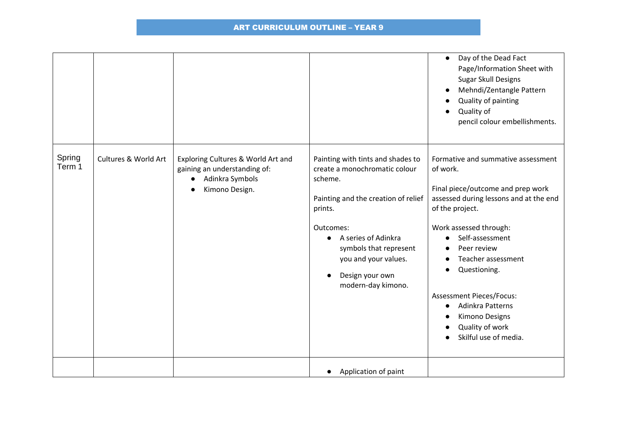|                  |                      |                                                                                                         |                                                                                                                                                                                                                                                                             | Day of the Dead Fact<br>$\bullet$<br>Page/Information Sheet with<br>Sugar Skull Designs<br>Mehndi/Zentangle Pattern<br>$\bullet$<br>Quality of painting<br>Quality of<br>pencil colour embellishments.                                                                                                                                                                         |
|------------------|----------------------|---------------------------------------------------------------------------------------------------------|-----------------------------------------------------------------------------------------------------------------------------------------------------------------------------------------------------------------------------------------------------------------------------|--------------------------------------------------------------------------------------------------------------------------------------------------------------------------------------------------------------------------------------------------------------------------------------------------------------------------------------------------------------------------------|
| Spring<br>Term 1 | Cultures & World Art | Exploring Cultures & World Art and<br>gaining an understanding of:<br>Adinkra Symbols<br>Kimono Design. | Painting with tints and shades to<br>create a monochromatic colour<br>scheme.<br>Painting and the creation of relief<br>prints.<br>Outcomes:<br>A series of Adinkra<br>$\bullet$<br>symbols that represent<br>you and your values.<br>Design your own<br>modern-day kimono. | Formative and summative assessment<br>of work.<br>Final piece/outcome and prep work<br>assessed during lessons and at the end<br>of the project.<br>Work assessed through:<br>Self-assessment<br>Peer review<br>Teacher assessment<br>Questioning.<br><b>Assessment Pieces/Focus:</b><br>Adinkra Patterns<br><b>Kimono Designs</b><br>Quality of work<br>Skilful use of media. |
|                  |                      |                                                                                                         | Application of paint                                                                                                                                                                                                                                                        |                                                                                                                                                                                                                                                                                                                                                                                |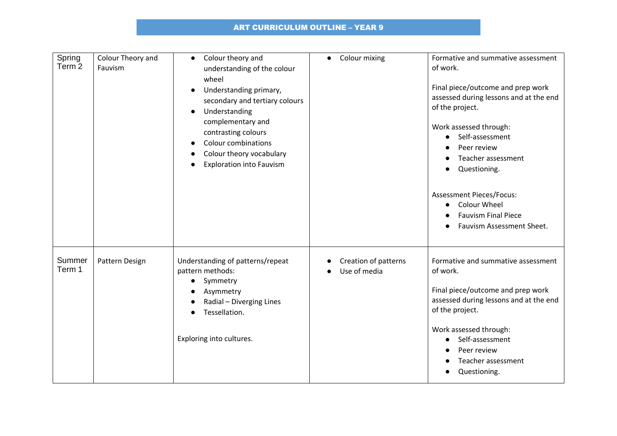| Spring<br>Term <sub>2</sub> | Colour Theory and<br>Fauvism | Colour theory and<br>$\bullet$<br>understanding of the colour<br>wheel<br>Understanding primary,<br>secondary and tertiary colours<br>Understanding<br>$\bullet$<br>complementary and<br>contrasting colours<br><b>Colour combinations</b><br>Colour theory vocabulary<br><b>Exploration into Fauvism</b> | Colour mixing<br>$\bullet$           | Formative and summative assessment<br>of work.<br>Final piece/outcome and prep work<br>assessed during lessons and at the end<br>of the project.<br>Work assessed through:<br>Self-assessment<br>Peer review<br>Teacher assessment<br>Questioning.<br><b>Assessment Pieces/Focus:</b><br><b>Colour Wheel</b><br>$\bullet$<br><b>Fauvism Final Piece</b><br>Fauvism Assessment Sheet. |
|-----------------------------|------------------------------|-----------------------------------------------------------------------------------------------------------------------------------------------------------------------------------------------------------------------------------------------------------------------------------------------------------|--------------------------------------|--------------------------------------------------------------------------------------------------------------------------------------------------------------------------------------------------------------------------------------------------------------------------------------------------------------------------------------------------------------------------------------|
| Summer<br>Term 1            | Pattern Design               | Understanding of patterns/repeat<br>pattern methods:<br>Symmetry<br>Asymmetry<br>Radial - Diverging Lines<br>Tessellation.<br>Exploring into cultures.                                                                                                                                                    | Creation of patterns<br>Use of media | Formative and summative assessment<br>of work.<br>Final piece/outcome and prep work<br>assessed during lessons and at the end<br>of the project.<br>Work assessed through:<br>Self-assessment<br>Peer review<br>Teacher assessment<br>Questioning.                                                                                                                                   |